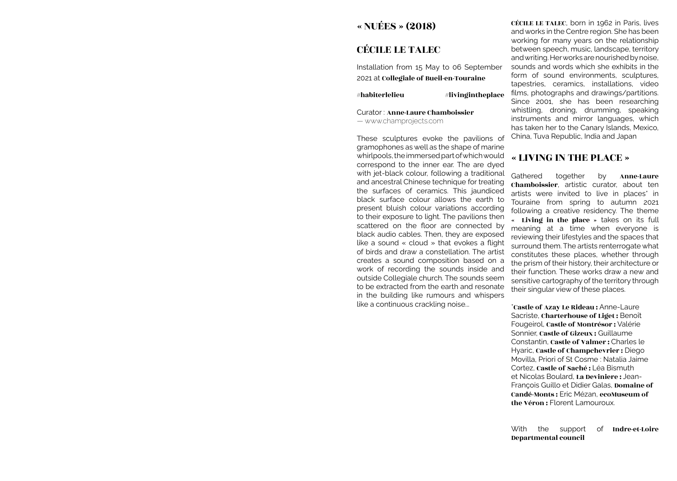# « NUÉES » (2018)

# CÉCILE LE TALEC

Installation from 15 May to 06 September 2021 at Collegiale of Bueil-en-Touraine

 $#$ habiterlelieu  $#$ livingintheplace

Curator : Anne-Laure Chamboissier — www.champrojects.com

These sculptures evoke the pavilions of gramophones as well as the shape of marine whirlpools, the immersed part of which would correspond to the inner ear. The are dyed with jet-black colour, following a traditional and ancestral Chinese technique for treating the surfaces of ceramics. This jaundiced black surface colour allows the earth to present bluish colour variations according to their exposure to light. The pavilions then scattered on the floor are connected by black audio cables. Then, they are exposed like a sound « cloud » that evokes a flight of birds and draw a constellation. The artist creates a sound composition based on a work of recording the sounds inside and outside Collegiale church. The sounds seem to be extracted from the earth and resonate in the building like rumours and whispers like a continuous crackling noise...

CÉCILE LE TALEC, born in 1962 in Paris, lives and works in the Centre region. She has been working for many years on the relationship between speech, music, landscape, territory and writing. Her works are nourished by noise, sounds and words which she exhibits in the form of sound environments, sculptures, tapestries, ceramics, installations, video films, photographs and drawings/partitions. Since 2001, she has been researching whistling, droning, drumming, speaking instruments and mirror languages, which has taken her to the Canary Islands, Mexico, China, Tuva Republic, India and Japan

### « LIVING IN THE PLACE »

Gathered together by **Anne-Laure** Chamboissier, artistic curator, about ten artists were invited to live in places<sup>\*</sup> in Touraine from spring to autumn 2021 following a creative residency. The theme « Living in the place » takes on its full meaning at a time when everyone is reviewing their lifestyles and the spaces that surround them. The artists renterrogate what constitutes these places, whether through the prism of their history, their architecture or their function. These works draw a new and sensitive cartography of the territory through their singular view of these places.

\*Castle of Azay Le Rideau : Anne-Laure Sacriste, Charterhouse of Liget : Benoît Fougeirol, Castle of Montrésor : Valérie Sonnier, Castle of Gizeux : Guillaume Constantin, Castle of Valmer : Charles le Hyaric, Castle of Champchevrier : Diego Movilla, Priori of St Cosme : Natalia Jaime Cortez, Castle of Saché : Léa Bismuth et Nicolas Boulard, La Deviniere : Jean-François Guillo et Didier Galas, Domaine of Candé-Monts : Eric Mézan, ecoMuseum of the Véron : Florent Lamouroux.

With the support of Indre-et-Loire Departmental council